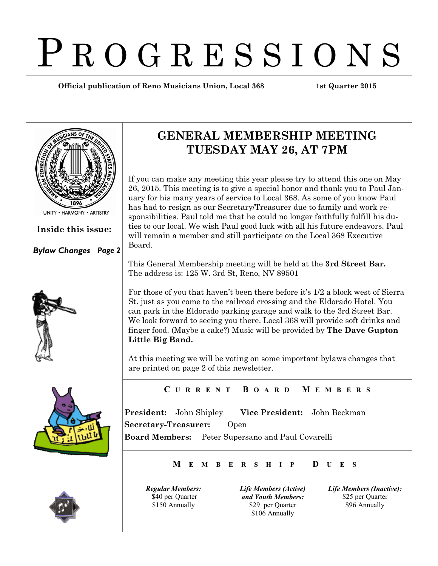# P R O G R E S S I O N S

**Official publication of Reno Musicians Union, Local 368 1st Quarter 2015**



**Inside this issue:**

*Bylaw Changes Page 2*





## **GENERAL MEMBERSHIP MEETING TUESDAY MAY 26, AT 7PM**

If you can make any meeting this year please try to attend this one on May 26, 2015. This meeting is to give a special honor and thank you to Paul January for his many years of service to Local 368. As some of you know Paul has had to resign as our Secretary/Treasurer due to family and work responsibilities. Paul told me that he could no longer faithfully fulfill his duties to our local. We wish Paul good luck with all his future endeavors. Paul will remain a member and still participate on the Local 368 Executive Board.

This General Membership meeting will be held at the **3rd Street Bar.** The address is: 125 W. 3rd St, Reno, NV 89501

For those of you that haven't been there before it's 1/2 a block west of Sierra St. just as you come to the railroad crossing and the Eldorado Hotel. You can park in the Eldorado parking garage and walk to the 3rd Street Bar. We look forward to seeing you there. Local 368 will provide soft drinks and finger food. (Maybe a cake?) Music will be provided by **The Dave Gupton Little Big Band.**

At this meeting we will be voting on some important bylaws changes that are printed on page 2 of this newsletter.

**C U R R E N T B O A R D M E M B E R S**

**President:** John Shipley **Vice President:** John Beckman **Secretary-Treasurer:** Open **Board Members:** Peter Supersano and Paul Covarelli

**M E M B E R S H I P D U E S**

*Regular Members:* \$40 per Quarter \$150 Annually

*Life Members (Active) and Youth Members:* \$29 per Quarter \$106 Annually

*Life Members (Inactive):* \$25 per Quarter \$96 Annually